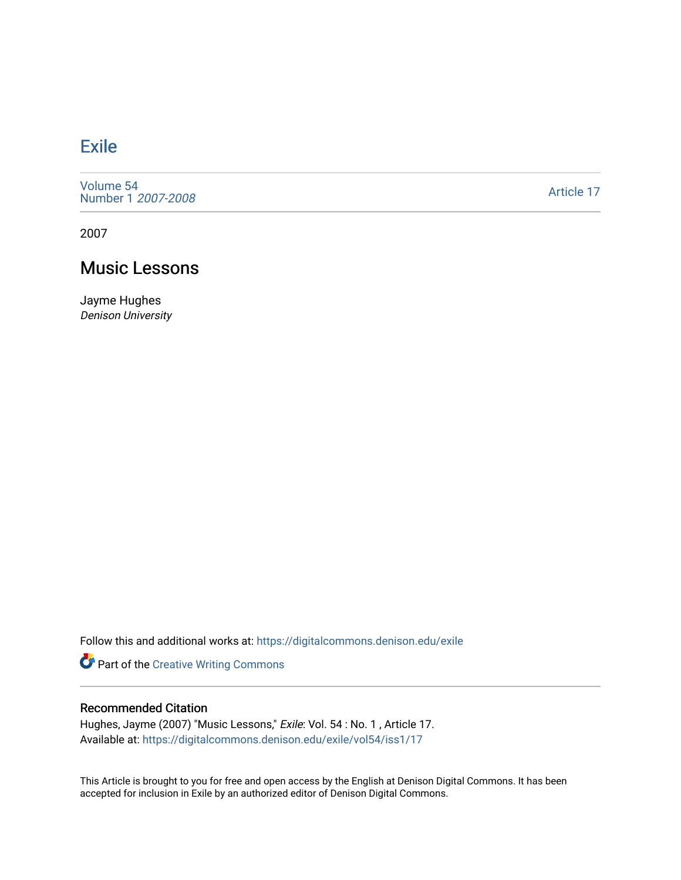## [Exile](https://digitalcommons.denison.edu/exile)

[Volume 54](https://digitalcommons.denison.edu/exile/vol54) [Number 1](https://digitalcommons.denison.edu/exile/vol54/iss1) 2007-2008

[Article 17](https://digitalcommons.denison.edu/exile/vol54/iss1/17) 

2007

## Music Lessons

Jayme Hughes Denison University

Follow this and additional works at: [https://digitalcommons.denison.edu/exile](https://digitalcommons.denison.edu/exile?utm_source=digitalcommons.denison.edu%2Fexile%2Fvol54%2Fiss1%2F17&utm_medium=PDF&utm_campaign=PDFCoverPages) 

Part of the [Creative Writing Commons](http://network.bepress.com/hgg/discipline/574?utm_source=digitalcommons.denison.edu%2Fexile%2Fvol54%2Fiss1%2F17&utm_medium=PDF&utm_campaign=PDFCoverPages) 

## Recommended Citation

Hughes, Jayme (2007) "Music Lessons," Exile: Vol. 54 : No. 1 , Article 17. Available at: [https://digitalcommons.denison.edu/exile/vol54/iss1/17](https://digitalcommons.denison.edu/exile/vol54/iss1/17?utm_source=digitalcommons.denison.edu%2Fexile%2Fvol54%2Fiss1%2F17&utm_medium=PDF&utm_campaign=PDFCoverPages)

This Article is brought to you for free and open access by the English at Denison Digital Commons. It has been accepted for inclusion in Exile by an authorized editor of Denison Digital Commons.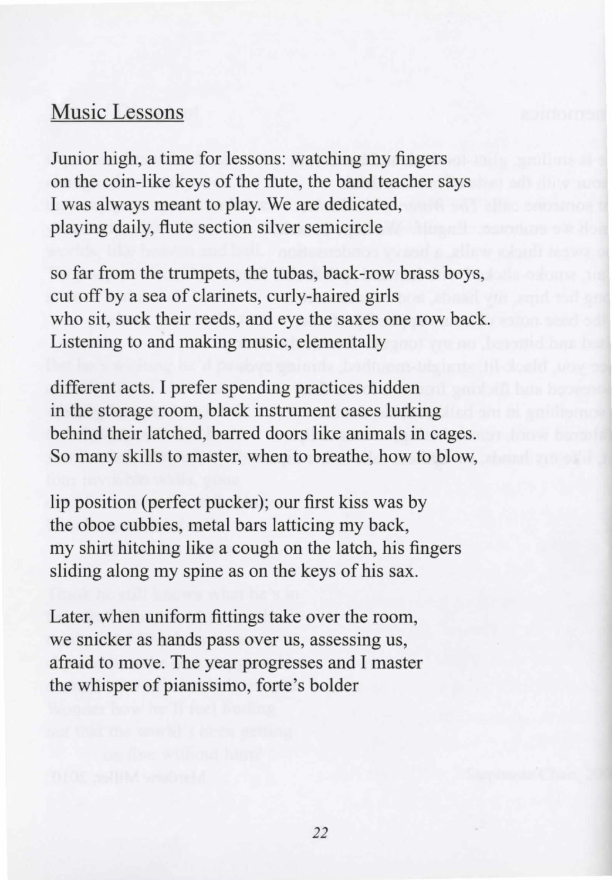## Music Lessons

Junior high, a time for lessons: watching my fingers on the coin-like keys of the flute, the band teacher says I was always meant to play. We are dedicated, playing daily, flute section silver semicircle

so far from the trumpets, the tubas, back-row brass boys, cut off by a sea of clarinets, curly-haired girls who sit, suck their reeds, and eye the saxes one row back. Listening to and making music, elementally

different acts. I prefer spending practices hidden in the storage room, black instrument cases lurking behind their latched, barred doors like animals in cages. So many skills to master, when to breathe, how to blow,

lip position (perfect pucker); our first kiss was by the oboe cubbies, metal bars latticing my back, my shirt hitching like a cough on the latch, his fingers sliding along my spine as on the keys of his sax.

Later, when uniform fittings take over the room, we snicker as hands pass over us, assessing us, afraid to move. The year progresses and I master the whisper of pianissimo, forte 's bolder